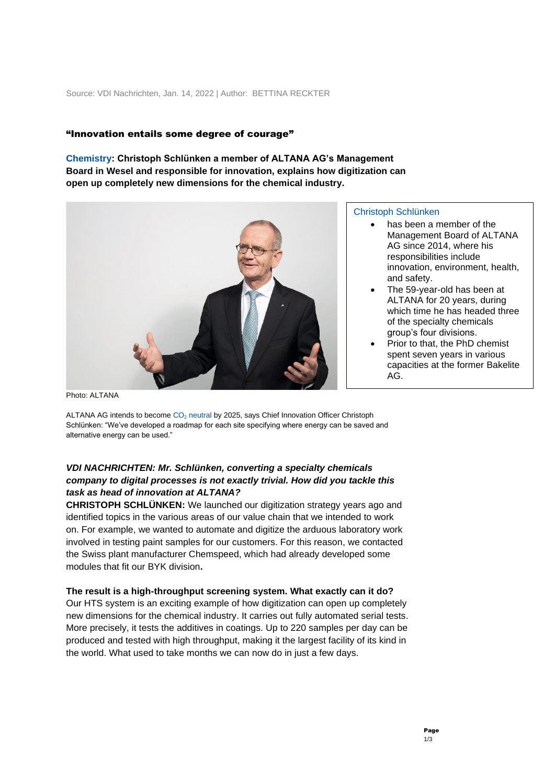### "Innovation entails some degree of courage"

**Chemistry: Christoph Schlünken a member of ALTANA AG's Management Board in Wesel and responsible for innovation, explains how digitization can open up completely new dimensions for the chemical industry.**



### Christoph Schlünken

- has been a member of the Management Board of ALTANA AG since 2014, where his responsibilities include innovation, environment, health, and safety.
- The 59-year-old has been at ALTANA for 20 years, during which time he has headed three of the specialty chemicals group's four divisions.
- Prior to that, the PhD chemist spent seven years in various capacities at the former Bakelite AG.

Photo: ALTANA

ALTANA AG intends to become  $CO<sub>2</sub>$  neutral by 2025, says Chief Innovation Officer Christoph Schlünken: "We've developed a roadmap for each site specifying where energy can be saved and alternative energy can be used."

# *VDI NACHRICHTEN: Mr. Schlünken, converting a specialty chemicals company to digital processes is not exactly trivial. How did you tackle this task as head of innovation at ALTANA?*

**CHRISTOPH SCHLÜNKEN:** We launched our digitization strategy years ago and identified topics in the various areas of our value chain that we intended to work on. For example, we wanted to automate and digitize the arduous laboratory work involved in testing paint samples for our customers. For this reason, we contacted the Swiss plant manufacturer Chemspeed, which had already developed some modules that fit our BYK division**.**

### **The result is a high-throughput screening system. What exactly can it do?**

Our HTS system is an exciting example of how digitization can open up completely new dimensions for the chemical industry. It carries out fully automated serial tests. More precisely, it tests the additives in coatings. Up to 220 samples per day can be produced and tested with high throughput, making it the largest facility of its kind in the world. What used to take months we can now do in just a few days.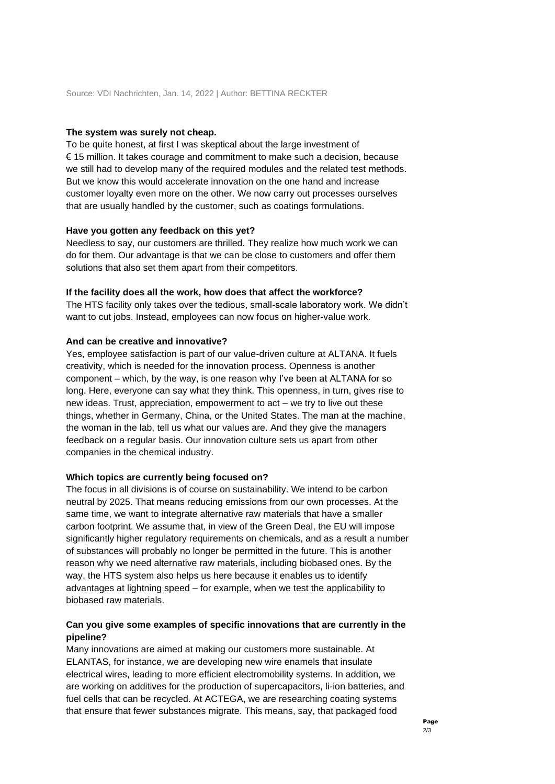#### **The system was surely not cheap.**

To be quite honest, at first I was skeptical about the large investment of € 15 million. It takes courage and commitment to make such a decision, because we still had to develop many of the required modules and the related test methods. But we know this would accelerate innovation on the one hand and increase customer loyalty even more on the other. We now carry out processes ourselves that are usually handled by the customer, such as coatings formulations.

### **Have you gotten any feedback on this yet?**

Needless to say, our customers are thrilled. They realize how much work we can do for them. Our advantage is that we can be close to customers and offer them solutions that also set them apart from their competitors.

#### **If the facility does all the work, how does that affect the workforce?**

The HTS facility only takes over the tedious, small-scale laboratory work. We didn't want to cut jobs. Instead, employees can now focus on higher-value work.

## **And can be creative and innovative?**

Yes, employee satisfaction is part of our value-driven culture at ALTANA. It fuels creativity, which is needed for the innovation process. Openness is another component – which, by the way, is one reason why I've been at ALTANA for so long. Here, everyone can say what they think. This openness, in turn, gives rise to new ideas. Trust, appreciation, empowerment to act – we try to live out these things, whether in Germany, China, or the United States. The man at the machine, the woman in the lab, tell us what our values are. And they give the managers feedback on a regular basis. Our innovation culture sets us apart from other companies in the chemical industry.

#### **Which topics are currently being focused on?**

The focus in all divisions is of course on sustainability. We intend to be carbon neutral by 2025. That means reducing emissions from our own processes. At the same time, we want to integrate alternative raw materials that have a smaller carbon footprint. We assume that, in view of the Green Deal, the EU will impose significantly higher regulatory requirements on chemicals, and as a result a number of substances will probably no longer be permitted in the future. This is another reason why we need alternative raw materials, including biobased ones. By the way, the HTS system also helps us here because it enables us to identify advantages at lightning speed – for example, when we test the applicability to biobased raw materials.

## **Can you give some examples of specific innovations that are currently in the pipeline?**

Many innovations are aimed at making our customers more sustainable. At ELANTAS, for instance, we are developing new wire enamels that insulate electrical wires, leading to more efficient electromobility systems. In addition, we are working on additives for the production of supercapacitors, li-ion batteries, and fuel cells that can be recycled. At ACTEGA, we are researching coating systems that ensure that fewer substances migrate. This means, say, that packaged food